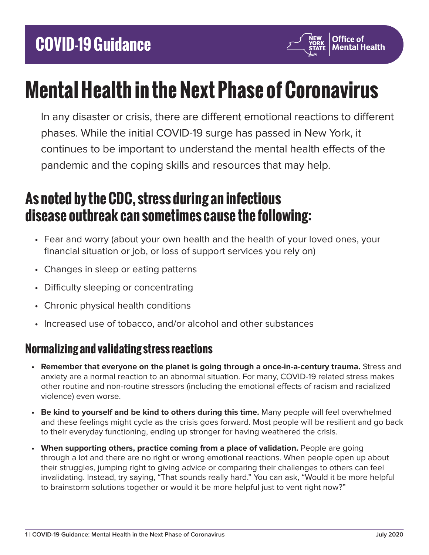

# **Mental Health in the Next Phase of Coronavirus**

In any disaster or crisis, there are different emotional reactions to different phases. While the initial COVID-19 surge has passed in New York, it continues to be important to understand the mental health effects of the pandemic and the coping skills and resources that may help.

# **As noted by the CDC, stress during an infectious disease outbreak can sometimes cause the following:**

- Fear and worry (about your own health and the health of your loved ones, your financial situation or job, or loss of support services you rely on)
- Changes in sleep or eating patterns
- Difficulty sleeping or concentrating
- Chronic physical health conditions
- Increased use of tobacco, and/or alcohol and other substances

# **Normalizing and validating stress reactions**

- **• Remember that everyone on the planet is going through a once-in-a-century trauma.** Stress and anxiety are a normal reaction to an abnormal situation. For many, COVID-19 related stress makes other routine and non-routine stressors (including the emotional effects of racism and racialized violence) even worse.
- **• Be kind to yourself and be kind to others during this time.** Many people will feel overwhelmed and these feelings might cycle as the crisis goes forward. Most people will be resilient and go back to their everyday functioning, ending up stronger for having weathered the crisis.
- **• When supporting others, practice coming from a place of validation.** People are going through a lot and there are no right or wrong emotional reactions. When people open up about their struggles, jumping right to giving advice or comparing their challenges to others can feel invalidating. Instead, try saying, "That sounds really hard." You can ask, "Would it be more helpful to brainstorm solutions together or would it be more helpful just to vent right now?"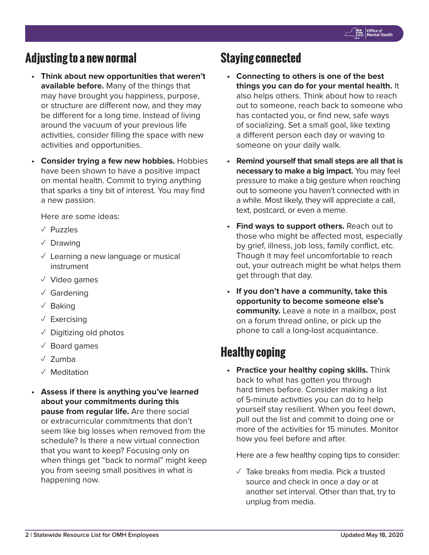## **Adjusting to a new normal**

- **• Think about new opportunities that weren't available before.** Many of the things that may have brought you happiness, purpose, or structure are different now, and they may be different for a long time. Instead of living around the vacuum of your previous life activities, consider filling the space with new activities and opportunities.
- **• Consider trying a few new hobbies.** Hobbies have been shown to have a positive impact on mental health. Commit to trying anything that sparks a tiny bit of interest. You may find a new passion.

Here are some ideas:

- ✓ Puzzles
- ✓ Drawing
- $\vee$  Learning a new language or musical instrument
- ✓ Video games
- ✓ Gardening
- ✓ Baking
- ✓ Exercising
- $\sqrt{ }$  Digitizing old photos
- ✓ Board games
- ✓ Zumba
- ✓ Meditation
- **• Assess if there is anything you've learned about your commitments during this pause from regular life.** Are there social or extracurricular commitments that don't seem like big losses when removed from the schedule? Is there a new virtual connection that you want to keep? Focusing only on when things get "back to normal" might keep you from seeing small positives in what is happening now.

#### **Staying connected**

- **• Connecting to others is one of the best things you can do for your mental health.** It also helps others. Think about how to reach out to someone, reach back to someone who has contacted you, or find new, safe ways of socializing. Set a small goal, like texting a different person each day or waving to someone on your daily walk.
- **• Remind yourself that small steps are all that is necessary to make a big impact.** You may feel pressure to make a big gesture when reaching out to someone you haven't connected with in a while. Most likely, they will appreciate a call, text, postcard, or even a meme.
- **• Find ways to support others.** Reach out to those who might be affected most, especially by grief, illness, job loss, family conflict, etc. Though it may feel uncomfortable to reach out, your outreach might be what helps them get through that day.
- **• If you don't have a community, take this opportunity to become someone else's community.** Leave a note in a mailbox, post on a forum thread online, or pick up the phone to call a long-lost acquaintance.

## **Healthy coping**

**• Practice your healthy coping skills.** Think back to what has gotten you through hard times before. Consider making a list of 5-minute activities you can do to help yourself stay resilient. When you feel down, pull out the list and commit to doing one or more of the activities for 15 minutes. Monitor how you feel before and after.

Here are a few healthy coping tips to consider:

 $\sqrt{ }$  Take breaks from media. Pick a trusted source and check in once a day or at another set interval. Other than that, try to unplug from media.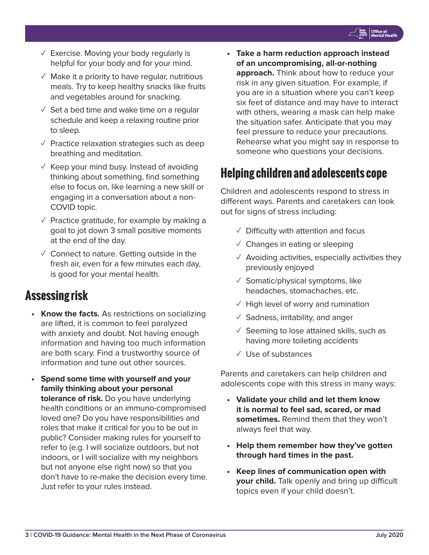- $\vee$  Exercise. Moving your body regularly is helpful for your body and for your mind.
- $\sqrt{ }$  Make it a priority to have regular, nutritious meals. Try to keep healthy snacks like fruits and vegetables around for snacking.
- $\sqrt{2}$  Set a bed time and wake time on a regular schedule and keep a relaxing routine prior to sleep.
- ✓ Practice relaxation strategies such as deep breathing and meditation.
- $\sqrt{ }$  Keep your mind busy. Instead of avoiding thinking about something, find something else to focus on, like learning a new skill or engaging in a conversation about a non-COVID topic.
- $\vee$  Practice gratitude, for example by making a goal to jot down 3 small positive moments at the end of the day.
- $\vee$  Connect to nature. Getting outside in the fresh air, even for a few minutes each day, is good for your mental health.

# **Assessing risk**

- **• Know the facts.** As restrictions on socializing are lifted, it is common to feel paralyzed with anxiety and doubt. Not having enough information and having too much information are both scary. Find a trustworthy source of information and tune out other sources.
- **• Spend some time with yourself and your family thinking about your personal tolerance of risk.** Do you have underlying health conditions or an immuno-compromised loved one? Do you have responsibilities and roles that make it critical for you to be out in public? Consider making rules for yourself to refer to (e.g. I will socialize outdoors, but not indoors, or I will socialize with my neighbors but not anyone else right now) so that you don't have to re-make the decision every time. Just refer to your rules instead.

**• Take a harm reduction approach instead of an uncompromising, all-or-nothing approach.** Think about how to reduce your risk in any given situation. For example, if you are in a situation where you can't keep six feet of distance and may have to interact with others, wearing a mask can help make the situation safer. Anticipate that you may feel pressure to reduce your precautions. Rehearse what you might say in response to someone who questions your decisions.

# **Helping children and adolescents cope**

Children and adolescents respond to stress in different ways. Parents and caretakers can look out for signs of stress including:

- $\sqrt{ }$  Difficulty with attention and focus
- $\vee$  Changes in eating or sleeping
- $\sqrt{ }$  Avoiding activities, especially activities they previously enjoyed
- $\checkmark$  Somatic/physical symptoms, like headaches, stomachaches, etc.
- $\sqrt{ }$  High level of worry and rumination
- $\sqrt{\ }$  Sadness, irritability, and anger
- $\sqrt{ }$  Seeming to lose attained skills, such as having more toileting accidents
- ✓ Use of substances

Parents and caretakers can help children and adolescents cope with this stress in many ways:

- **• Validate your child and let them know it is normal to feel sad, scared, or mad sometimes.** Remind them that they won't always feel that way.
- **• Help them remember how they've gotten through hard times in the past.**
- **• Keep lines of communication open with your child.** Talk openly and bring up difficult topics even if your child doesn't.